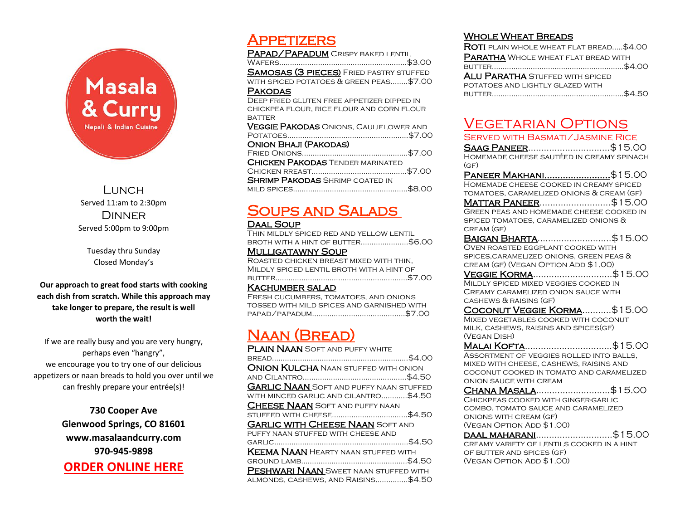

Lunch. Served 11:am to 2:30pm **DINNER** Served 5:00pm to 9:00pm

Tuesday thru Sunday Closed Monday's

**Our approach to great food starts with cooking each dish from scratch. While this approach may take longer to prepare, the result is well worth the wait!** 

If we are really busy and you are very hungry, perhaps even "hangry", we encourage you to try one of our delicious appetizers or naan breads to hold you over until we can freshly prepare your entrée(s)!

> **730 Cooper Ave Glenwood Springs, CO 81601 www.masalaandcurry.com 970-945-9898 [ORDER ONLINE HERE](https://www.toasttab.com/masala-and-curry-glenwood-springs/v3)**

## **APPETIZERS**

PAPAD/PAPADUM CRISPY BAKED LENTIL Wafers…………………………………………………..\$3.00 **SAMOSAS (3 PIECES)** FRIED PASTRY STUFFED with spiced potatoes & green peas……..\$7.00 **PAKODAS** Deep fried gluten free appetizer dipped in chickpea flour, rice flour and corn flour **BATTER VEGGIE PAKODAS** ONIONS, CAULIFLOWER AND Potatoes………………………………………………..\$7.00 Onion Bhaji (Pakodas) Fried Onions………..………………………………..\$7.00 **CHICKEN PAKODAS TENDER MARINATED** Chicken rreast……….…………………………….\$7.00 **SHRIMP PAKODAS SHRIMP COATED IN** mild spices……………………………………………..\$8.00

## Soups and Salads

### Daal Soup

Thin mildly spiced red and yellow lentil broth with a hint of butter………………….\$6.00

### **MULLIGATAWNY SOUP**

Roasted chicken breast mixed with thin, Mildly spiced lentil broth with a hint of butter…………………………………………………….\$7.00

### Kachumber salad

Fresh cucumbers, tomatoes, and onions tossed with mild spices and garnished with papad/papadum………………………..…………..\$7.00

## Naan (Bread)

| <b>PLAIN NAAN</b> SOFT AND PUFFY WHITE         |  |
|------------------------------------------------|--|
|                                                |  |
| <b>ONION KULCHA</b> NAAN STUFFED WITH ONION    |  |
|                                                |  |
| <b>GARLIC NAAN</b> SOFT AND PUFFY NAAN STUFFED |  |
| WITH MINCED GARLIC AND CILANTRO\$4.50          |  |
| <b>CHEESE NAAN</b> SOFT AND PUFFY NAAN         |  |
|                                                |  |
| <b>GARLIC WITH CHEESE NAAN</b> SOFT AND        |  |
| PUFFY NAAN STUFFED WITH CHEESE AND             |  |
|                                                |  |
| <b>KEEMA NAAN</b> HEARTY NAAN STUFFED WITH     |  |
|                                                |  |
| <b>PESHWARI NAAN</b> SWEET NAAN STUFFED WITH   |  |
| ALMONDS, CASHEWS, AND RAISINS\$4.50            |  |

### Whole Wheat Breads

| ROTI PLAIN WHOLE WHEAT FLAT BREAD\$4.00    |
|--------------------------------------------|
| <b>PARATHA</b> WHOLE WHEAT FLAT BREAD WITH |
|                                            |
| <b>ALU PARATHA</b> STUFFED WITH SPICED     |
| POTATOES AND LIGHTLY GLAZED WITH           |
|                                            |

## Vegetarian Options

| <b>SERVED WITH BASMATI/JASMINE RICE</b>                |
|--------------------------------------------------------|
| SAAG PANEER\$15.00                                     |
| HOMEMADE CHEESE SAUTÉED IN CREAMY SPINACH              |
| (GF)                                                   |
| <u> Paneer Makhani\$</u> 15.00                         |
| HOMEMADE CHEESE COOKED IN CREAMY SPICED                |
| TOMATOES, CARAMELIZED ONIONS & CREAM (GF)              |
| MATTAR PANEER\$15.00                                   |
| GREEN PEAS AND HOMEMADE CHEESE COOKED IN               |
| SPICED TOMATOES, CARAMELIZED ONIONS &                  |
| CREAM (GF)                                             |
| BAIGAN BHARTA\$15.00                                   |
| <b>OVEN ROASTED EGGPLANT COOKED WITH</b>               |
| SPICES, CARAMELIZED ONIONS, GREEN PEAS &               |
| CREAM (GF) (VEGAN OPTION ADD \$1.00)                   |
| <b><u>VEGGIE KORMA</u>\$15.00</b>                      |
| MILDLY SPICED MIXED VEGGIES COOKED IN                  |
| CREAMY CARAMELIZED ONION SAUCE WITH                    |
| CASHEWS & RAISINS (GF)                                 |
| COCONUT VEGGIE KORMA\$15.00                            |
|                                                        |
| MIXED VEGETABLES COOKED WITH COCONUT                   |
| MILK, CASHEWS, RAISINS AND SPICES(GF)                  |
| (VEGAN DISH)                                           |
| Malai Kofta\$15.00                                     |
| ASSORTMENT OF VEGGIES ROLLED INTO BALLS,               |
| MIXED WITH CHEESE, CASHEWS, RAISINS AND                |
| COCONUT COOKED IN TOMATO AND CARAMELIZED               |
| ONION SAUCE WITH CREAM                                 |
| CHANA MASALA\$15.00                                    |
| CHICKPEAS COOKED WITH GINGER-GARLIC                    |
| COMBO, TOMATO SAUCE AND CARAMELIZED                    |
| ONIONS WITH CREAM (GF)                                 |
| (VEGAN OPTION ADD \$1.00)                              |
| DAAL MAHARANI\$15.00                                   |
| CREAMY VARIETY OF LENTILS COOKED IN A HINT             |
| OF BUTTER AND SPICES (GF)<br>(VEGAN OPTION ADD \$1.00) |